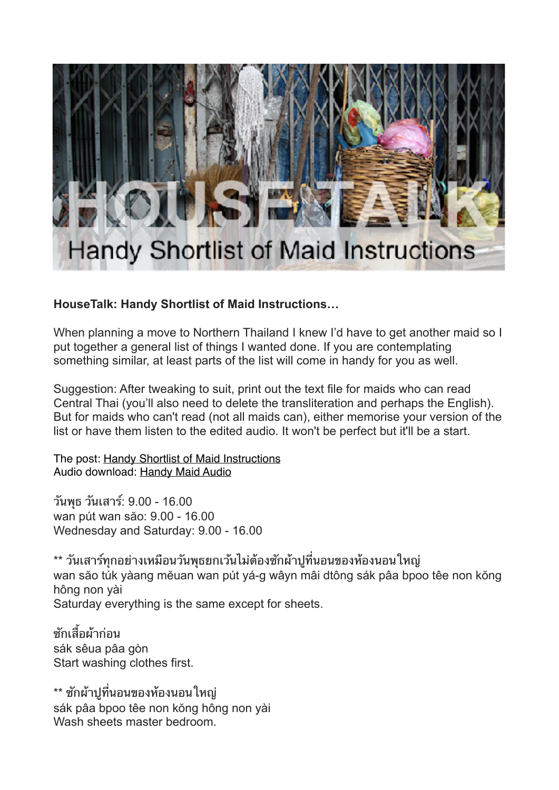

## **HouseTalk: Handy Shortlist of Maid Instructions…**

When planning a move to Northern Thailand I knew I'd have to get another maid so I put together a general list of things I wanted done. If you are contemplating something similar, at least parts of the list will come in handy for you as well.

Suggestion: After tweaking to suit, print out the text file for maids who can read Central Thai (you'll also need to delete the transliteration and perhaps the English). But for maids who can't read (not all maids can), either memorise your version of the list or have them listen to the edited audio. It won't be perfect but it'll be a start.

The post: [Handy Shortlist of Maid Instructions](http://womenlearnthai.com/index.php/housetalk-a-handy-shortlist-of-maid-instructions) Audio download: [Handy Maid Audio](http://womenlearnthai.com/downloads/maids/handy-maid-audio.zip)

วนพธ วนเสาร: 9.00 - 16.00 wan pút wan săo: 9.00 - 16.00 Wednesday and Saturday: 9.00 - 16.00

\*\* วันเสาร์ทกอย่างเหมือนวันพธยกเว้นไม่ต้องซักผ้าปที่นอนของห้องนอนใหญ่ wan săo túk yàang mĕuan wan pút yá-g wâyn mâi dtông sák pâa bpoo têe non kŏng hông non yài Saturday everything is the same except for sheets.

ชักเสื้อผ้าก่อน sák sêua pâa gòn Start washing clothes first.

\*\* ซักผ้าปูที่นอนของห้องนอนใหญ่ sák pâa bpoo têe non kŏng hông non yài Wash sheets master bedroom.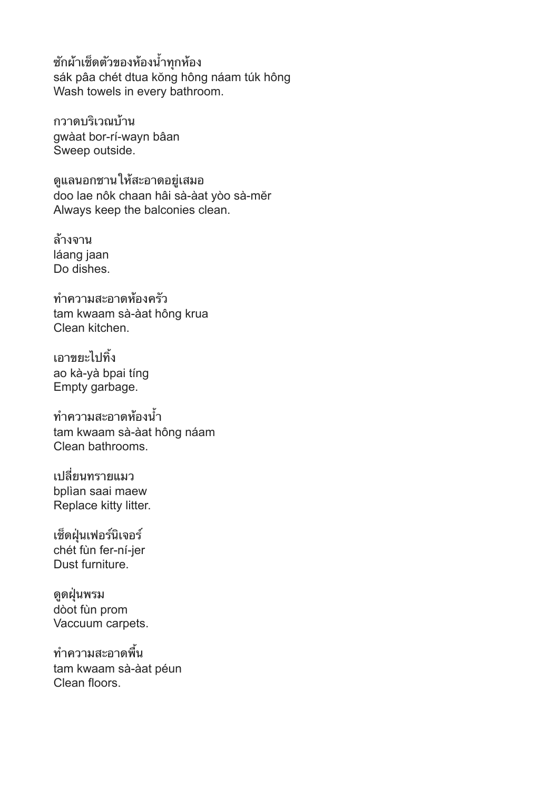ซักผ้าเช็ดตัวของห้องน้ำทุกห้อง sák pâa chét dtua kŏng hông náam túk hông Wash towels in every bathroom.

กวาดบริเวณบ้าน gwàat bor-rí-wayn bâan Sweep outside.

ดแลนอกชานใหสะอาดอยเสมอ doo lae nôk chaan hâi sà-àat yòo sà-mĕr Always keep the balconies clean.

ลางจาน láang jaan Do dishes.

ทความสะอาดหองครว tam kwaam sà-àat hông krua Clean kitchen.

เอาขยะไปทิ้ง ao kà-yà bpai tíng Empty garbage.

ทความสะอาดหองน tam kwaam sà-àat hông náam Clean bathrooms.

เปลยนทรายแมว bplìan saai maew Replace kitty litter.

เช็ดฝุ่นเฟอร์นิเจอร์ chét fùn fer-ní-jer Dust furniture.

ดดฝนพรม dòot fùn prom Vaccuum carpets.

ทำความสะอาดพื้น tam kwaam sà-àat péun Clean floors.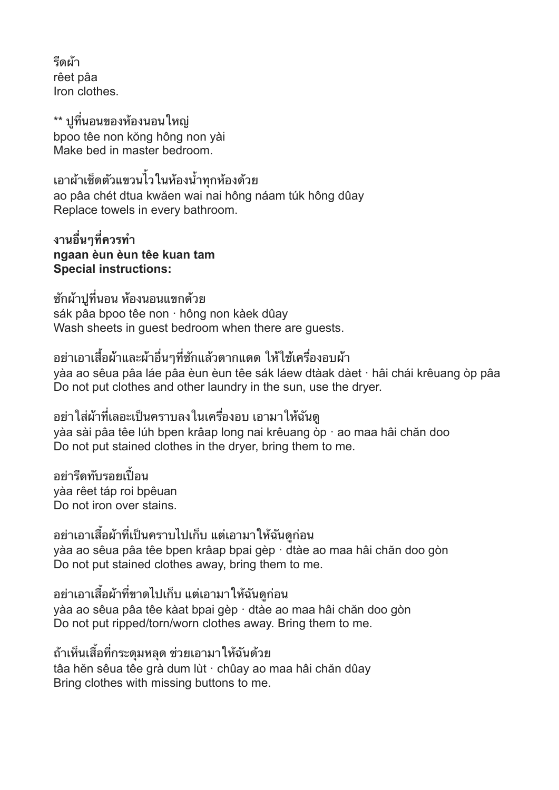รดผา rêet pâa Iron clothes.

\*\* ปูที่นอนของห้องนอนใหญ่ bpoo têe non kŏng hông non yài Make bed in master bedroom.

เอาผาเชดตวแขวนไวในหองนทกหองดวย ao pâa chét dtua kwăen wai nai hông náam túk hông dûay Replace towels in every bathroom.

ึงานอื่นๆที่ควรทำ **ngaan èun èun têe kuan tam Special instructions:** 

ซกผาปทนอน หองนอนแขกดวย sák pâa bpoo têe non · hông non kàek dûay Wash sheets in guest bedroom when there are guests.

้อย่าเอาเสื้อผ้าและผ้าอื่นๆที่ซักแล้วตากแดด ให้ใช้เครื่องอบผ้า yàa ao sêua pâa láe pâa èun èun têe sák láew dtàak dàet · hâi chái krêuang òp pâa Do not put clothes and other laundry in the sun, use the dryer.

ื่อย่าใส่ผ้าที่เลอะเป็นคราบลงในเครื่องอบ เอามาให้ฉันด yàa sài pâa têe lúh bpen krâap long nai krêuang òp · ao maa hâi chăn doo Do not put stained clothes in the dryer, bring them to me.

อย่ารีดทับรอยเปื้อน yàa rêet táp roi bpêuan Do not iron over stains.

้อย่าเอาเสื้อผ้าที่เป็นคราบไปเก็บ แต่เอามาให้ฉันดูก่อน yàa ao sêua pâa têe bpen krâap bpai gèp · dtàe ao maa hâi chăn doo gòn Do not put stained clothes away, bring them to me.

้อย่าเอาเสื้อผ้าที่ขาดไปเก็บ แต่เอามาให้ฉันดก่อน yàa ao sêua pâa têe kàat bpai gèp · dtàe ao maa hâi chăn doo gòn Do not put ripped/torn/worn clothes away. Bring them to me.

ถาเหนเสอทกระดมหลด ชวยเอามาใหฉนดวย tâa hĕn sêua têe grà dum lùt · chûay ao maa hâi chăn dûay Bring clothes with missing buttons to me.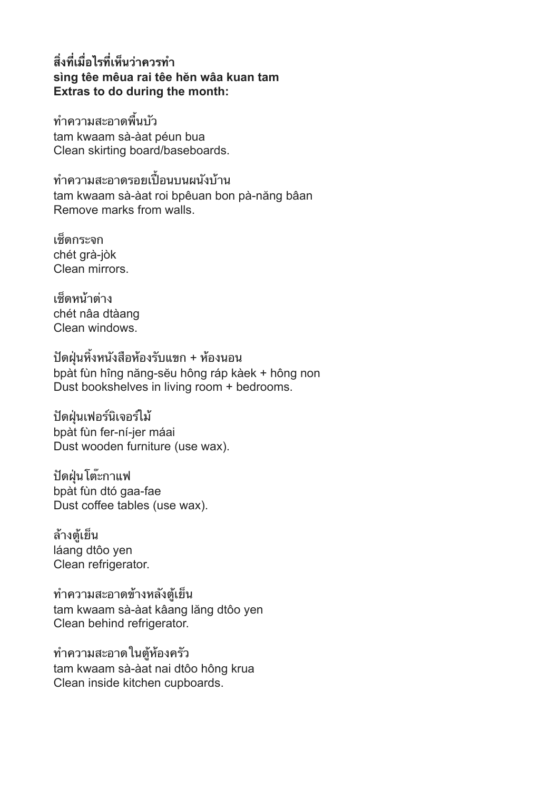## **สงทเมอไรทเหนวาควรท sìng têe mêua rai têe hĕn wâa kuan tam Extras to do during the month:**

ทำความสะอาดพื้นบัว tam kwaam sà-àat péun bua Clean skirting board/baseboards.

ทำความสะอาดรอยเปื้อนบนผนังบ้าน tam kwaam sà-àat roi bpêuan bon pà-năng bâan Remove marks from walls.

เชดกระจก chét grà-jòk Clean mirrors.

เชดหนาตาง chét nâa dtàang Clean windows.

ปดฝนหงหนงสอหองรบแขก + หองนอน bpàt fùn hîng năng-sĕu hông ráp kàek + hông non Dust bookshelves in living room + bedrooms.

ปดฝนเฟอรนเจอรไม bpàt fùn fer-ní-jer máai Dust wooden furniture (use wax).

ปดฝนโตะกาแฟ bpàt fùn dtó gaa-fae Dust coffee tables (use wax).

ล้างตู้เย็น láang dtôo yen Clean refrigerator.

ทำความสะอาดข้างหลังตู้เย็น tam kwaam sà-àat kâang lăng dtôo yen Clean behind refrigerator.

ทำความสะอาดในตู้ห้องครัว tam kwaam sà-àat nai dtôo hông krua Clean inside kitchen cupboards.